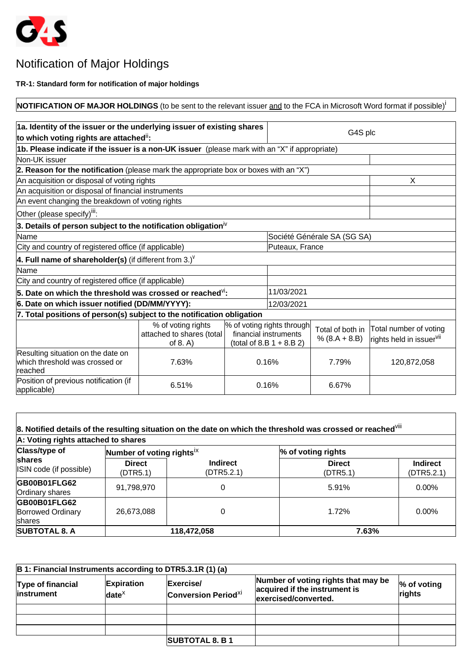

## Notification of Major Holdings

**TR-1: Standard form for notification of major holdings**

**NOTIFICATION OF MAJOR HOLDINGS** (to be sent to the relevant issuer and to the FCA in Microsoft Word format if possible)<sup>i</sup>

| 1a. Identity of the issuer or the underlying issuer of existing shares                        |                                                                |  |                                                                                    |                                     |                                                                |
|-----------------------------------------------------------------------------------------------|----------------------------------------------------------------|--|------------------------------------------------------------------------------------|-------------------------------------|----------------------------------------------------------------|
| to which voting rights are attached <sup>ii</sup> :                                           |                                                                |  | G4S plc                                                                            |                                     |                                                                |
| 1b. Please indicate if the issuer is a non-UK issuer (please mark with an "X" if appropriate) |                                                                |  |                                                                                    |                                     |                                                                |
| Non-UK issuer                                                                                 |                                                                |  |                                                                                    |                                     |                                                                |
| 2. Reason for the notification (please mark the appropriate box or boxes with an "X")         |                                                                |  |                                                                                    |                                     |                                                                |
| An acquisition or disposal of voting rights                                                   |                                                                |  |                                                                                    |                                     | X                                                              |
| An acquisition or disposal of financial instruments                                           |                                                                |  |                                                                                    |                                     |                                                                |
| An event changing the breakdown of voting rights                                              |                                                                |  |                                                                                    |                                     |                                                                |
| Other (please specify) <sup>iii</sup> :                                                       |                                                                |  |                                                                                    |                                     |                                                                |
| 3. Details of person subject to the notification obligation $N$                               |                                                                |  |                                                                                    |                                     |                                                                |
| Name                                                                                          |                                                                |  | Société Générale SA (SG SA)                                                        |                                     |                                                                |
| City and country of registered office (if applicable)                                         |                                                                |  | Puteaux, France                                                                    |                                     |                                                                |
| 4. Full name of shareholder(s) (if different from 3.) <sup><math>V</math></sup>               |                                                                |  |                                                                                    |                                     |                                                                |
| Name                                                                                          |                                                                |  |                                                                                    |                                     |                                                                |
| City and country of registered office (if applicable)                                         |                                                                |  |                                                                                    |                                     |                                                                |
| 5. Date on which the threshold was crossed or reached $\overline{\mathsf{M}}$ :               | 11/03/2021                                                     |  |                                                                                    |                                     |                                                                |
| 6. Date on which issuer notified (DD/MM/YYYY):                                                |                                                                |  | 12/03/2021                                                                         |                                     |                                                                |
| 7. Total positions of person(s) subject to the notification obligation                        |                                                                |  |                                                                                    |                                     |                                                                |
|                                                                                               | % of voting rights<br>attached to shares (total<br>of $8. A$ ) |  | % of voting rights through<br>financial instruments<br>(total of 8.B $1 + 8.B 2$ ) | Total of both in<br>$% (8.A + 8.B)$ | Total number of voting<br>rights held in issuer <sup>vii</sup> |
| Resulting situation on the date on<br>lwhich threshold was crossed or<br>lreached             | 7.63%                                                          |  | 0.16%                                                                              | 7.79%                               | 120,872,058                                                    |
| Position of previous notification (if<br>applicable)                                          | 6.51%                                                          |  | 0.16%                                                                              | 6.67%                               |                                                                |

| A: Voting rights attached to shares                |                                       |                               |                           |                               |
|----------------------------------------------------|---------------------------------------|-------------------------------|---------------------------|-------------------------------|
| <b>Class/type of</b>                               | Number of voting rights <sup>ix</sup> |                               | % of voting rights        |                               |
| shares<br>ISIN code (if possible)                  | <b>Direct</b><br>(DTR5.1)             | <b>Indirect</b><br>(DTR5.2.1) | <b>Direct</b><br>(DTR5.1) | <b>Indirect</b><br>(DTR5.2.1) |
| GB00B01FLG62<br>Ordinary shares                    | 91,798,970                            | 0                             | 5.91%                     | $0.00\%$                      |
| GB00B01FLG62<br><b>Borrowed Ordinary</b><br>shares | 26,673,088                            | 0                             | 1.72%                     | $0.00\%$                      |
| <b>SUBTOTAL 8. A</b>                               |                                       | 118,472,058                   | 7.63%                     |                               |

| B 1: Financial Instruments according to DTR5.3.1R (1) (a) |                               |                                                    |                                                                                              |                          |  |
|-----------------------------------------------------------|-------------------------------|----------------------------------------------------|----------------------------------------------------------------------------------------------|--------------------------|--|
| Type of financial<br><i>linstrument</i>                   | <b>Expiration</b><br>$date^x$ | Exercise/<br><b>Conversion Period<sup>xi</sup></b> | Number of voting rights that may be<br>acquired if the instrument is<br>exercised/converted. | $\%$ of voting<br>rights |  |
|                                                           |                               |                                                    |                                                                                              |                          |  |
|                                                           |                               |                                                    |                                                                                              |                          |  |
|                                                           |                               |                                                    |                                                                                              |                          |  |
|                                                           |                               | <b>SUBTOTAL 8. B 1</b>                             |                                                                                              |                          |  |